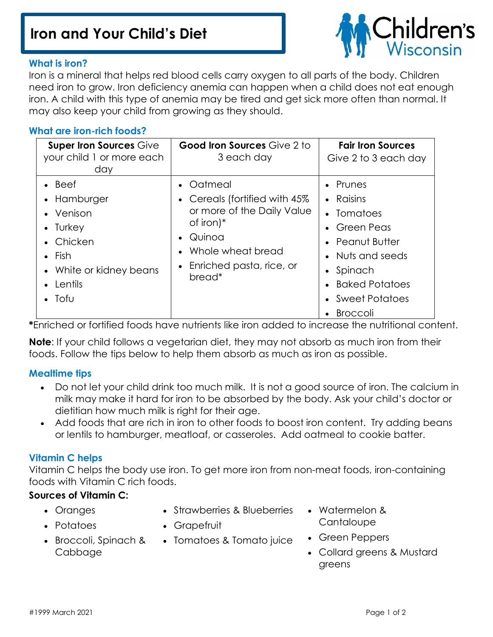# **Iron and Your Child's Diet**



## **What is iron?**

Iron is a mineral that helps red blood cells carry oxygen to all parts of the body. Children need iron to grow. Iron deficiency anemia can happen when a child does not eat enough iron. A child with this type of anemia may be tired and get sick more often than normal. It may also keep your child from growing as they should.

#### **What are iron-rich foods?**

| <b>Super Iron Sources Give</b><br>your child 1 or more each<br>day                                                                              | <b>Good Iron Sources Give 2 to</b><br>3 each day                                                                                                                            | <b>Fair Iron Sources</b><br>Give 2 to 3 each day                                                                                                                   |
|-------------------------------------------------------------------------------------------------------------------------------------------------|-----------------------------------------------------------------------------------------------------------------------------------------------------------------------------|--------------------------------------------------------------------------------------------------------------------------------------------------------------------|
| $\bullet$ Beef<br>• Hamburger<br>• Venison<br>• Turkey<br>• Chicken<br>$\bullet$ Fish<br>• White or kidney beans<br>• Lentils<br>$\bullet$ Tofu | • Oatmeal<br>• Cereals (fortified with 45%<br>or more of the Daily Value<br>of iron) $*$<br>Quinoa<br>• Whole wheat bread<br>Enriched pasta, rice, or<br>bread <sup>*</sup> | • Prunes<br>• Raisins<br>• Tomatoes<br>• Green Peas<br>• Peanut Butter<br>• Nuts and seeds<br>• Spinach<br>• Baked Potatoes<br>• Sweet Potatoes<br><b>Broccoli</b> |

**\***Enriched or fortified foods have nutrients like iron added to increase the nutritional content.

**Note**: If your child follows a vegetarian diet, they may not absorb as much iron from their foods. Follow the tips below to help them absorb as much as iron as possible.

# **Mealtime tips**

- Do not let your child drink too much milk. It is not a good source of iron. The calcium in milk may make it hard for iron to be absorbed by the body. Ask your child's doctor or dietitian how much milk is right for their age.
- Add foods that are rich in iron to other foods to boost iron content. Try adding beans or lentils to hamburger, meatloaf, or casseroles. Add oatmeal to cookie batter.

# **Vitamin C helps**

Vitamin C helps the body use iron. To get more iron from non-meat foods, iron-containing foods with Vitamin C rich foods.

# **Sources of Vitamin C:**

- Oranges
- Strawberries & Blueberries
- Potatoes
- Grapefruit
- Broccoli, Spinach & Cabbage
- Tomatoes & Tomato juice
- Watermelon & **Cantaloupe**
- Green Peppers
- Collard greens & Mustard greens